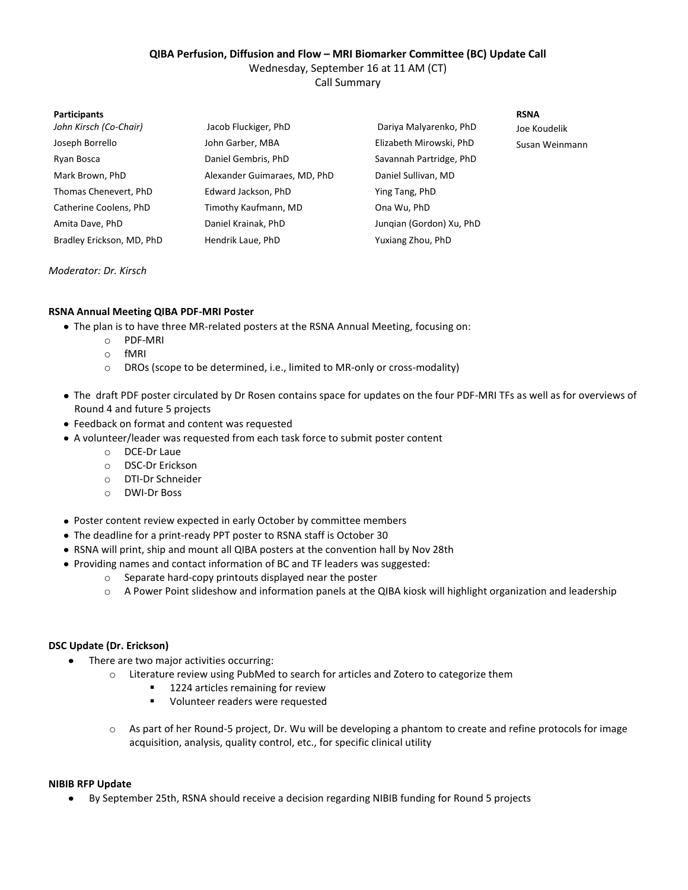# **QIBA Perfusion, Diffusion and Flow – MRI Biomarker Committee (BC) Update Call**

Wednesday, September 16 at 11 AM (CT)

Call Summary

| <b>Participants</b>       |                              |                          | <b>RSNA</b>    |
|---------------------------|------------------------------|--------------------------|----------------|
| John Kirsch (Co-Chair)    | Jacob Fluckiger, PhD         | Dariya Malyarenko, PhD   | Joe Koudelik   |
| Joseph Borrello           | John Garber, MBA             | Elizabeth Mirowski, PhD  | Susan Weinmann |
| Ryan Bosca                | Daniel Gembris, PhD          | Savannah Partridge, PhD  |                |
| Mark Brown, PhD           | Alexander Guimaraes, MD, PhD | Daniel Sullivan, MD      |                |
| Thomas Chenevert, PhD     | Edward Jackson, PhD          | Ying Tang, PhD           |                |
| Catherine Coolens, PhD    | Timothy Kaufmann, MD         | Ona Wu, PhD              |                |
| Amita Dave, PhD           | Daniel Krainak, PhD          | Jungian (Gordon) Xu, PhD |                |
| Bradley Erickson, MD, PhD | Hendrik Laue, PhD            | Yuxiang Zhou, PhD        |                |

*Moderator: Dr. Kirsch*

# **RSNA Annual Meeting QIBA PDF-MRI Poster**

- The plan is to have three MR-related posters at the RSNA Annual Meeting, focusing on:
	- o PDF-MRI
	- o fMRI
	- o DROs (scope to be determined, i.e., limited to MR-only or cross-modality)
- The draft PDF poster circulated by Dr Rosen contains space for updates on the four PDF-MRI TFs as well as for overviews of Round 4 and future 5 projects
- Feedback on format and content was requested
- A volunteer/leader was requested from each task force to submit poster content
	- o DCE-Dr Laue
	- o DSC-Dr Erickson
	- o DTI-Dr Schneider
	- o DWI-Dr Boss
- Poster content review expected in early October by committee members
- The deadline for a print-ready PPT poster to RSNA staff is October 30
- RSNA will print, ship and mount all QIBA posters at the convention hall by Nov 28th
- Providing names and contact information of BC and TF leaders was suggested:
	- o Separate hard-copy printouts displayed near the poster
	- o A Power Point slideshow and information panels at the QIBA kiosk will highlight organization and leadership

# **DSC Update (Dr. Erickson)**

- There are two major activities occurring:  $\bullet$ 
	- o Literature review using PubMed to search for articles and Zotero to categorize them
		- 1224 articles remaining for review
		- **U** Volunteer readers were requested
	- $\circ$  As part of her Round-5 project, Dr. Wu will be developing a phantom to create and refine protocols for image acquisition, analysis, quality control, etc., for specific clinical utility

### **NIBIB RFP Update**

By September 25th, RSNA should receive a decision regarding NIBIB funding for Round 5 projects